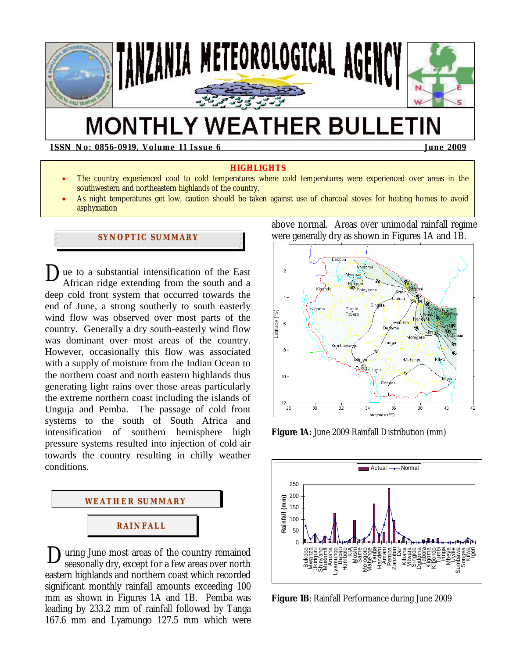

# **MONTHLY WEATHER BULLETIN**

**ISSN No: 0856-0919, Volume 11 Issue 6 June 2009**  June 2009

#### **HIGHLIGHTS**

- The country experienced cool to cold temperatures where cold temperatures were experienced over areas in the southwestern and northeastern highlands of the country.
- As night temperatures get low, caution should be taken against use of charcoal stoves for heating homes to avoid asphyxiation

#### **SYNOPTIC SUMMARY**

 $\sum$ ue to a substantial intensification of the East African ridge extending from the south and a African ridge extending from the south and a deep cold front system that occurred towards the end of June, a strong southerly to south easterly wind flow was observed over most parts of the country. Generally a dry south-easterly wind flow was dominant over most areas of the country. However, occasionally this flow was associated with a supply of moisture from the Indian Ocean to the northern coast and north eastern highlands thus generating light rains over those areas particularly the extreme northern coast including the islands of Unguja and Pemba. The passage of cold front systems to the south of South Africa and intensification of southern hemisphere high pressure systems resulted into injection of cold air towards the country resulting in chilly weather conditions.



During June most areas of the country remained<br>seasonally dry, except for a few areas over north seasonally dry, except for a few areas over north eastern highlands and northern coast which recorded significant monthly rainfall amounts exceeding 100 mm as shown in Figures 1A and 1B. Pemba was leading by 233.2 mm of rainfall followed by Tanga 167.6 mm and Lyamungo 127.5 mm which were

above normal. Areas over unimodal rainfall regime were generally dry as shown in Figures 1A and 1B.



**Figure 1A:** June 2009 Rainfall Distribution (mm)



**Figure 1B**: Rainfall Performance during June 2009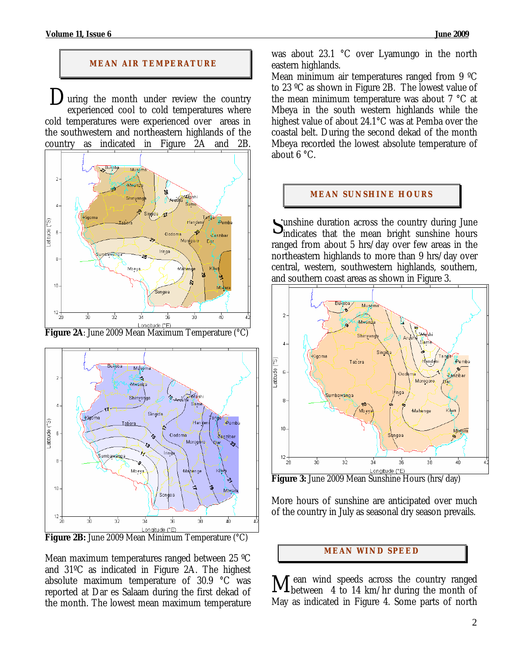### **MEAN AIR TEMPERATURE**

uring the month under review the country experienced cool to cold temperatures where cold temperatures were experienced over areas in the southwestern and northeastern highlands of the country as indicated in Figure 2A and 2B.  $\sum_{\alpha}$ 





Mean maximum temperatures ranged between 25 ºC and 31ºC as indicated in Figure 2A. The highest absolute maximum temperature of 30.9 °C was reported at Dar es Salaam during the first dekad of the month. The lowest mean maximum temperature was about 23.1 °C over Lyamungo in the north eastern highlands.

Mean minimum air temperatures ranged from 9 ºC to 23 ºC as shown in Figure 2B. The lowest value of the mean minimum temperature was about 7 °C at Mbeya in the south western highlands while the highest value of about 24.1°C was at Pemba over the coastal belt. During the second dekad of the month Mbeya recorded the lowest absolute temperature of about 6 °C.

## **MEAN SUNSHINE HOURS**

unshine duration across the country during June Sunshine duration across the country during June<br>
Sindicates that the mean bright sunshine hours ranged from about 5 hrs/day over few areas in the northeastern highlands to more than 9 hrs/day over central, western, southwestern highlands, southern, and southern coast areas as shown in Figure 3.



More hours of sunshine are anticipated over much of the country in July as seasonal dry season prevails.

#### **MEAN WI ND SPEED**

 ean wind speeds across the country ranged Mean wind speeds across the country ranged between 4 to 14 km/hr during the month of May as indicated in Figure 4. Some parts of north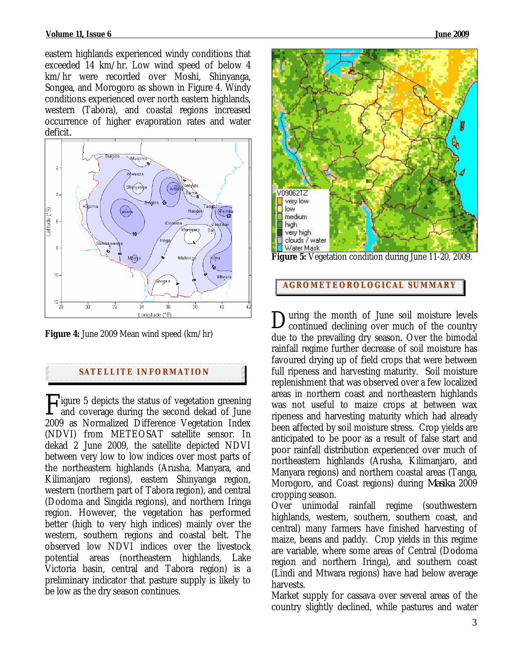eastern highlands experienced windy conditions that exceeded 14 km/hr. Low wind speed of below 4 km/hr were recorded over Moshi, Shinyanga, Songea, and Morogoro as shown in Figure 4. Windy conditions experienced over north eastern highlands, western (Tabora), and coastal regions increased occurrence of higher evaporation rates and water deficit*.*



**Figure 4:** June 2009 Mean wind speed (km/hr)

#### **SATELLITE I NFORMATION**

Figure 5 depicts the status of vegetation greening<br>and coverage during the second dekad of June and coverage during the second dekad of June 2009 as Normalized Difference Vegetation Index (NDVI) from METEOSAT satellite sensor. In dekad 2 June 2009, the satellite depicted NDVI between very low to low indices over most parts of the northeastern highlands (Arusha, Manyara, and Kilimanjaro regions), eastern Shinyanga region, western (northern part of Tabora region), and central (Dodoma and Singida regions), and northern Iringa region. However, the vegetation has performed better (high to very high indices) mainly over the western, southern regions and coastal belt. The observed low NDVI indices over the livestock potential areas (northeastern highlands, Lake Victoria basin, central and Tabora region) is a preliminary indicator that pasture supply is likely to be low as the dry season continues.



**Figure 5:** Vegetation condition during June 11-20, 2009.

#### **AGROMETEOROLOGICAL SUMMARY**

uring the month of June soil moisture levels During the month of June soil moisture levels<br>Continued declining over much of the country due to the prevailing dry season. Over the bimodal rainfall regime further decrease of soil moisture has favoured drying up of field crops that were between full ripeness and harvesting maturity. Soil moisture replenishment that was observed over a few localized areas in northern coast and northeastern highlands was not useful to maize crops at between wax ripeness and harvesting maturity which had already been affected by soil moisture stress. Crop yields are anticipated to be poor as a result of false start and poor rainfall distribution experienced over much of northeastern highlands (Arusha, Kilimanjaro, and Manyara regions) and northern coastal areas (Tanga, Morogoro, and Coast regions) during *Masika* 2009 cropping season.

Over unimodal rainfall regime (southwestern highlands, western, southern, southern coast, and central) many farmers have finished harvesting of maize, beans and paddy. Crop yields in this regime are variable, where some areas of Central (Dodoma region and northern Iringa), and southern coast (Lindi and Mtwara regions) have had below average harvests.

Market supply for cassava over several areas of the country slightly declined, while pastures and water